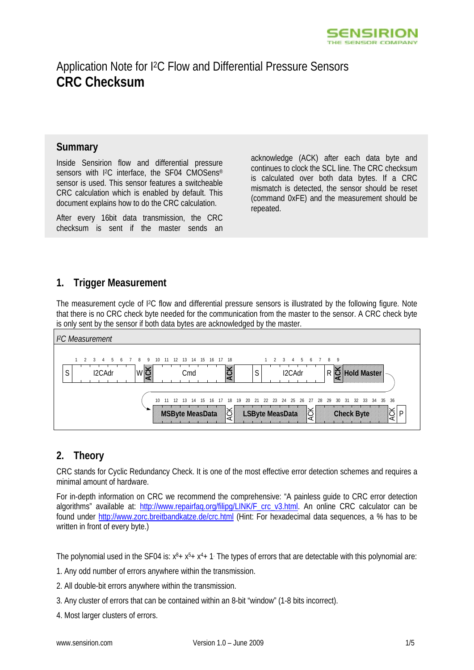

# Application Note for I2C Flow and Differential Pressure Sensors **CRC Checksum**

### **Summary**

Inside Sensirion flow and differential pressure sensors with I<sup>2</sup>C interface, the SF04 CMOSens<sup>®</sup> sensor is used. This sensor features a switcheable CRC calculation which is enabled by default. This document explains how to do the CRC calculation.

After every 16bit data transmission, the CRC checksum is sent if the master sends an acknowledge (ACK) after each data byte and continues to clock the SCL line. The CRC checksum is calculated over both data bytes. If a CRC mismatch is detected, the sensor should be reset (command 0xFE) and the measurement should be repeated.

# **1. Trigger Measurement**

The measurement cycle of I2C flow and differential pressure sensors is illustrated by the following figure. Note that there is no CRC check byte needed for the communication from the master to the sensor. A CRC check byte is only sent by the sensor if both data bytes are acknowledged by the master.



## **2. Theory**

CRC stands for Cyclic Redundancy Check. It is one of the most effective error detection schemes and requires a minimal amount of hardware.

For in-depth information on CRC we recommend the comprehensive: "A painless guide to CRC error detection algorithms" available at: http://www.repairfaq.org/filipg/LINK/F crc\_v3.html. An online CRC calculator can be found under http://www.zorc.breitbandkatze.de/crc.html (Hint: For hexadecimal data sequences, a % has to be written in front of every byte.)

The polynomial used in the SF04 is:  $x^{8}+x^{5}+x^{4}+1$ . The types of errors that are detectable with this polynomial are:

- 1. Any odd number of errors anywhere within the transmission.
- 2. All double-bit errors anywhere within the transmission.
- 3. Any cluster of errors that can be contained within an 8-bit "window" (1-8 bits incorrect).
- 4. Most larger clusters of errors.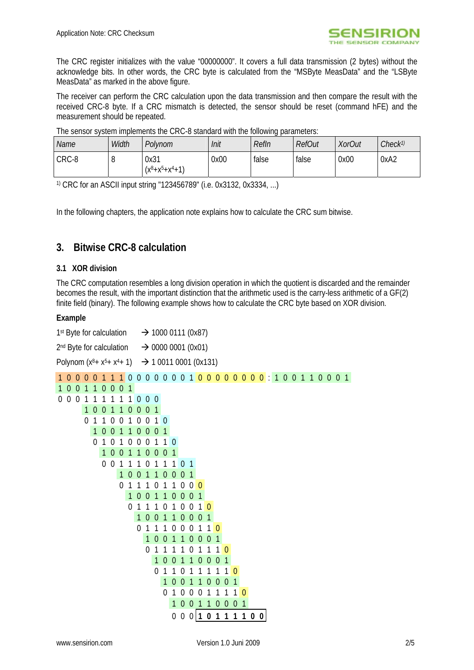

The CRC register initializes with the value "00000000". It covers a full data transmission (2 bytes) without the acknowledge bits. In other words, the CRC byte is calculated from the "MSByte MeasData" and the "LSByte MeasData" as marked in the above figure.

The receiver can perform the CRC calculation upon the data transmission and then compare the result with the received CRC-8 byte. If a CRC mismatch is detected, the sensor should be reset (command hFE) and the measurement should be repeated.

| Name  | Width | Polynom                         | Init | Refln | <b>RefOut</b> | <b>XorOut</b> | Check <sup>1)</sup> |  |  |
|-------|-------|---------------------------------|------|-------|---------------|---------------|---------------------|--|--|
| CRC-8 |       | 0x31<br>$(x^8 + x^5 + x^4 + 1)$ | 0x00 | false | false         | 0x00          | 0xA2                |  |  |

The sensor system implements the CRC-8 standard with the following parameters:

1) CRC for an ASCII input string "123456789" (i.e. 0x3132, 0x3334, ...)

In the following chapters, the application note explains how to calculate the CRC sum bitwise.

### **3. Bitwise CRC-8 calculation**

#### **3.1 XOR division**

The CRC computation resembles a long division operation in which the quotient is discarded and the remainder becomes the result, with the important distinction that the arithmetic used is the carry-less arithmetic of a GF(2) finite field (binary). The following example shows how to calculate the CRC byte based on XOR division.

#### **Example**

| 1 <sup>st</sup> Byte for calculation | $\rightarrow$ 1000 0111 (0x87)    |  |  |  |  |  |  |
|--------------------------------------|-----------------------------------|--|--|--|--|--|--|
| 2 <sup>nd</sup> Byte for calculation | $\rightarrow$ 0000 0001 (0x01)    |  |  |  |  |  |  |
| Polynom $(x8+ x5+ x4+ 1)$            | $\rightarrow$ 1 0011 0001 (0x131) |  |  |  |  |  |  |

|                |                |              |                |                |                |                |                |                |                  |                |                            |                  |                |                |                          |                                  |                  |                |                |                |                |  |  |  | 1000011100000001 <mark>00000000</mark> :100110001 |  |  |
|----------------|----------------|--------------|----------------|----------------|----------------|----------------|----------------|----------------|------------------|----------------|----------------------------|------------------|----------------|----------------|--------------------------|----------------------------------|------------------|----------------|----------------|----------------|----------------|--|--|--|---------------------------------------------------|--|--|
| 1 <sub>0</sub> | $\overline{0}$ | 1            | 1              | 0 <sub>0</sub> |                | $\overline{0}$ | $\overline{1}$ |                |                  |                |                            |                  |                |                |                          |                                  |                  |                |                |                |                |  |  |  |                                                   |  |  |
| $0\,0\,0$      |                | 1            |                | 1              | 1              |                |                | 11000          |                  |                |                            |                  |                |                |                          |                                  |                  |                |                |                |                |  |  |  |                                                   |  |  |
|                |                | $\mathbf{1}$ | 0 <sub>0</sub> |                |                | 110001         |                |                |                  |                |                            |                  |                |                |                          |                                  |                  |                |                |                |                |  |  |  |                                                   |  |  |
|                |                | $\theta$     | 1              | 1              | $\theta$       | $\overline{0}$ |                | 10010          |                  |                |                            |                  |                |                |                          |                                  |                  |                |                |                |                |  |  |  |                                                   |  |  |
|                |                |              | $\mathbf{1}$   | 0 <sub>0</sub> |                | $\overline{1}$ |                | 10001          |                  |                |                            |                  |                |                |                          |                                  |                  |                |                |                |                |  |  |  |                                                   |  |  |
|                |                |              | $\Omega$       | 1              | $\Omega$       | 1              | $\theta$       | $\Omega$       | $\overline{0}$   | $\overline{1}$ | $\left  \right $           | $\Omega$         |                |                |                          |                                  |                  |                |                |                |                |  |  |  |                                                   |  |  |
|                |                |              |                |                | 1 <sub>0</sub> | $\overline{0}$ | $\mathbf{1}$   |                | 100              |                | $\overline{0}$             | 1                |                |                |                          |                                  |                  |                |                |                |                |  |  |  |                                                   |  |  |
|                |                |              |                |                | 001            |                | 1              | 1              | $\boldsymbol{0}$ | 1              | $\mathbf{1}$               | $\overline{1}$   | $\theta$       |                |                          |                                  |                  |                |                |                |                |  |  |  |                                                   |  |  |
|                |                |              |                |                |                |                | 1 <sub>0</sub> | $\overline{0}$ | $\mathbf{1}$     |                | $100$                      |                  | 0 <sub>1</sub> |                |                          |                                  |                  |                |                |                |                |  |  |  |                                                   |  |  |
|                |                |              |                |                |                | $\Omega$       | 1              | 1              | 1                | $\theta$       | 1                          | 1                |                | 000            |                          |                                  |                  |                |                |                |                |  |  |  |                                                   |  |  |
|                |                |              |                |                |                |                | 1              | 0 <sub>0</sub> |                  | 1              | 1 <sub>0</sub><br>$\Omega$ | 1                | 0 <sub>0</sub> |                | $\lceil$<br>$\mathbf{1}$ |                                  |                  |                |                |                |                |  |  |  |                                                   |  |  |
|                |                |              |                |                |                |                | $\theta$       | $\mathbf{1}$   | $\overline{0}$   | $\Omega$       | $\overline{1}$             |                  | $\overline{0}$ | 0<br>1000      |                          | $\overline{0}$<br>$\overline{1}$ |                  |                |                |                |                |  |  |  |                                                   |  |  |
|                |                |              |                |                |                |                |                | $\overline{0}$ | 1                | 1              | 1                          | $\Omega$         | $\Omega$       | $\overline{0}$ | $\mathbf{1}$             | $1\,0$                           |                  |                |                |                |                |  |  |  |                                                   |  |  |
|                |                |              |                |                |                |                |                |                |                  | 100            |                            |                  |                |                | 110001                   |                                  |                  |                |                |                |                |  |  |  |                                                   |  |  |
|                |                |              |                |                |                |                |                |                | 0                | $\mathbf{1}$   |                            |                  |                | $\Omega$       | $\mathbf 1$              | 1                                | $\mathbf{1}$     | $\theta$       |                |                |                |  |  |  |                                                   |  |  |
|                |                |              |                |                |                |                |                |                |                  | 1              | $\Omega$                   | $\Omega$         | $\mathbf{1}$   |                | 1 <sub>0</sub>           | $\overline{0}$                   | $\Omega$         | 1              |                |                |                |  |  |  |                                                   |  |  |
|                |                |              |                |                |                |                |                |                |                  | $\Omega$       |                            |                  | $\Omega$       |                |                          |                                  |                  |                | $\Omega$       |                |                |  |  |  |                                                   |  |  |
|                |                |              |                |                |                |                |                |                |                  |                | 1                          | $\Omega$         | $\Omega$       | $\mathbf{1}$   |                          | 1 <sub>0</sub>                   | $\theta$         | $\Omega$       |                |                |                |  |  |  |                                                   |  |  |
|                |                |              |                |                |                |                |                |                |                  |                | $\Omega$                   | $\mathbf{1}$     | $\Omega$       | $\Omega$       | $\Omega$                 | 1                                | 1                |                | 1              | $\Omega$       |                |  |  |  |                                                   |  |  |
|                |                |              |                |                |                |                |                |                |                  |                |                            | $\mathbf{1}$     | 0 <sub>0</sub> |                |                          | $1\quad1$                        | $\boldsymbol{0}$ | $\overline{0}$ | $\overline{0}$ | $\overline{1}$ |                |  |  |  |                                                   |  |  |
|                |                |              |                |                |                |                |                |                |                  |                |                            | $\boldsymbol{0}$ |                |                | 00110                    |                                  | $\mathbf{1}$     | 1              | $\mathbf{1}$   | $\mathbf{1}$   | 0 <sub>0</sub> |  |  |  |                                                   |  |  |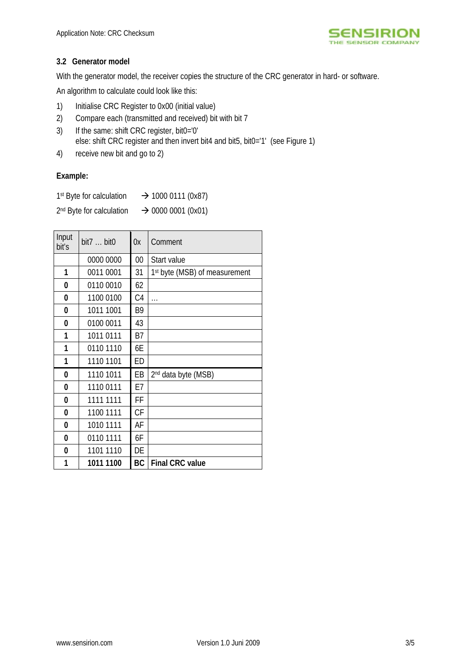

### **3.2 Generator model**

With the generator model, the receiver copies the structure of the CRC generator in hard- or software.

An algorithm to calculate could look like this:

- 1) Initialise CRC Register to 0x00 (initial value)
- 2) Compare each (transmitted and received) bit with bit 7
- 3) If the same: shift CRC register, bit0='0' else: shift CRC register and then invert bit4 and bit5, bit0='1' (see Figure 1)
- 4) receive new bit and go to 2)

#### **Example:**

| 1 <sup>st</sup> Byte for calculation | $\rightarrow$ 1000 0111 (0x87) |
|--------------------------------------|--------------------------------|
|                                      |                                |

 $2<sup>nd</sup>$  Byte for calculation  $\rightarrow$  0000 0001 (0x01)

| Input<br>bit's | bit $7 \ldots$ bit $0$ | 0x             | Comment                         |
|----------------|------------------------|----------------|---------------------------------|
|                | 0000 0000              | $00\,$         | Start value                     |
| 1              | 0011 0001              | 31             | 1st byte (MSB) of measurement   |
| 0              | 0110 0010              | 62             |                                 |
| 0              | 1100 0100              | C <sub>4</sub> | $\cdots$                        |
| 0              | 1011 1001              | B <sub>9</sub> |                                 |
| 0              | 0100 0011              | 43             |                                 |
| 1              | 1011 0111              | <b>B7</b>      |                                 |
| 1              | 0110 1110              | 6E             |                                 |
| 1              | 1110 1101              | ED             |                                 |
| 0              | 1110 1011              | EB             | 2 <sup>nd</sup> data byte (MSB) |
| 0              | 1110 0111              | E7             |                                 |
| 0              | 1111 1111              | FF             |                                 |
| 0              | 1100 1111              | CF             |                                 |
| 0              | 1010 1111              | AF             |                                 |
| 0              | 0110 1111              | 6F             |                                 |
| 0              | 1101 1110              | DE             |                                 |
| 1              | 1011 1100              | BC             | <b>Final CRC value</b>          |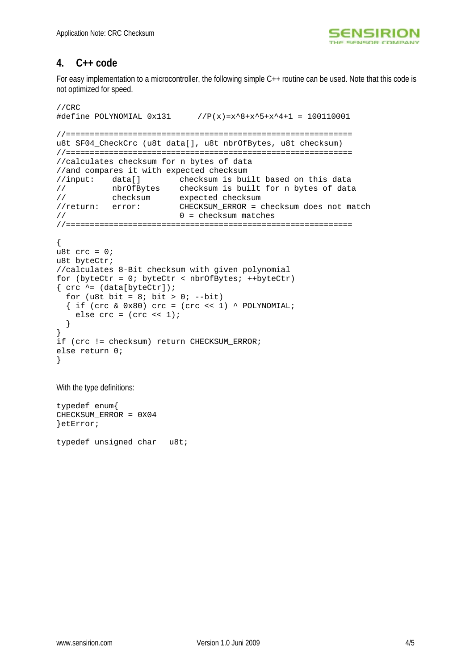

## **4. C++ code**

For easy implementation to a microcontroller, the following simple C++ routine can be used. Note that this code is not optimized for speed.

```
//CRC 
#define POLYNOMIAL 0x131 //P(x)=x^8+x^5+x^4+1 = 100110001
//============================================================ 
u8t SF04_CheckCrc (u8t data[], u8t nbrOfBytes, u8t checksum) 
//============================================================ 
//calculates checksum for n bytes of data 
//and compares it with expected checksum 
//input: data[] checksum is built based on this data 
// nbrOfBytes checksum is built for n bytes of data 
// checksum expected checksum 
//return: error: CHECKSUM_ERROR = checksum does not match 
// 0 = checksum matches 
//============================================================ 
{ 
u8t \text{crc} = 0;
u8t byteCtr; 
//calculates 8-Bit checksum with given polynomial 
for (byteCtr = 0; byteCtr < nbrOfBytes; ++byteCtr)
\{ crc \uparrow = (data[byteCtr]);for (u8t bit = 8; bit > 0; --bit)
  \{ if (crc & 0x80) cc = (crc < 1) \land POLYNOMIAL; else crc = (crc << 1); 
   } 
} 
if (crc != checksum) return CHECKSUM_ERROR; 
else return 0; 
}
```
With the type definitions:

typedef enum{ CHECKSUM\_ERROR = 0X04 }etError; typedef unsigned char u8t;